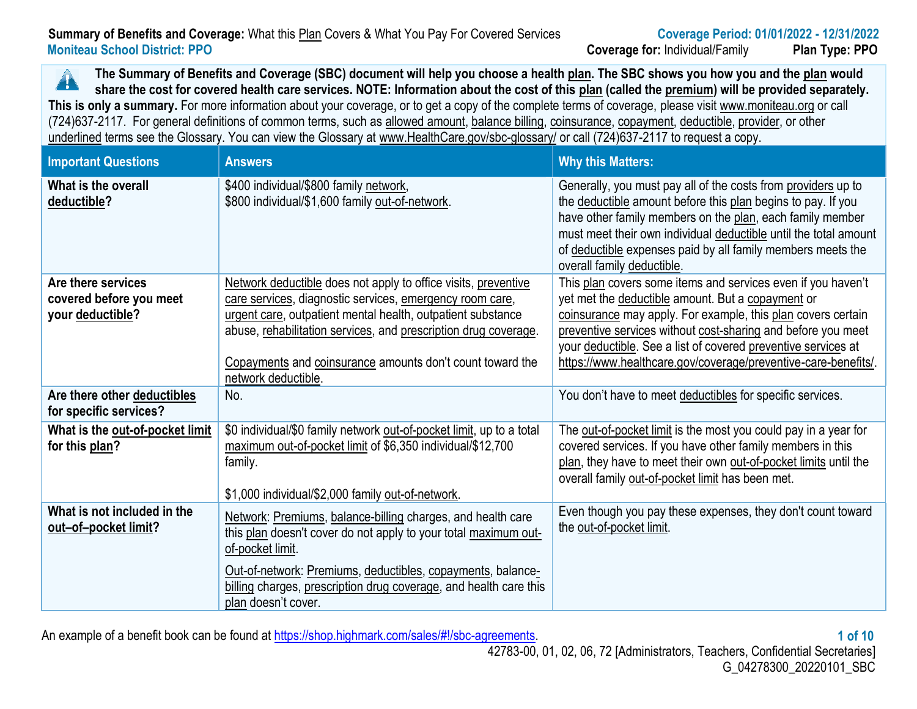#### **Summary of Benefits and Coverage:** What this Plan Covers & What You Pay For Covered Services **Coverage Period: 01/01/2022 - 12/31/2022 Moniteau School District: PPO Coverage for:** Individual/Family **Plan Type: PPO**

**The Summary of Benefits and Coverage (SBC) document will help you choose a health plan. The SBC shows you how you and the plan would**   $\blacktriangle$ **share the cost for covered health care services. NOTE: Information about the cost of this plan (called the premium) will be provided separately.** This is only a summary. For more information about your coverage, or to get a copy of the complete terms of coverage, please visit www.moniteau.org or call (724)637-2117. For general definitions of common terms, such as allowed amount, balance billing, coinsurance, copayment, deductible, provider, or other underlined terms see the Glossary. You can view the Glossary at [www.HealthCare.gov/sbc-glossary/](http://www.healthcare.gov/sbc-glossary/) or call (724)637-2117 to request a copy.

| <b>Important Questions</b>                                        | <b>Answers</b>                                                                                                                                                                                                                                                                                                                                   | <b>Why this Matters:</b>                                                                                                                                                                                                                                                                                                                                                             |
|-------------------------------------------------------------------|--------------------------------------------------------------------------------------------------------------------------------------------------------------------------------------------------------------------------------------------------------------------------------------------------------------------------------------------------|--------------------------------------------------------------------------------------------------------------------------------------------------------------------------------------------------------------------------------------------------------------------------------------------------------------------------------------------------------------------------------------|
| What is the overall<br>deductible?                                | \$400 individual/\$800 family network,<br>\$800 individual/\$1,600 family out-of-network.                                                                                                                                                                                                                                                        | Generally, you must pay all of the costs from providers up to<br>the deductible amount before this plan begins to pay. If you<br>have other family members on the plan, each family member<br>must meet their own individual deductible until the total amount<br>of deductible expenses paid by all family members meets the<br>overall family deductible.                          |
| Are there services<br>covered before you meet<br>your deductible? | Network deductible does not apply to office visits, preventive<br>care services, diagnostic services, emergency room care,<br>urgent care, outpatient mental health, outpatient substance<br>abuse, rehabilitation services, and prescription drug coverage.<br>Copayments and coinsurance amounts don't count toward the<br>network deductible. | This plan covers some items and services even if you haven't<br>yet met the deductible amount. But a copayment or<br>coinsurance may apply. For example, this plan covers certain<br>preventive services without cost-sharing and before you meet<br>your deductible. See a list of covered preventive services at<br>https://www.healthcare.gov/coverage/preventive-care-benefits/. |
| Are there other deductibles<br>for specific services?             | No.                                                                                                                                                                                                                                                                                                                                              | You don't have to meet deductibles for specific services.                                                                                                                                                                                                                                                                                                                            |
| What is the out-of-pocket limit<br>for this plan?                 | \$0 individual/\$0 family network out-of-pocket limit, up to a total<br>maximum out-of-pocket limit of \$6,350 individual/\$12,700<br>family.<br>\$1,000 individual/\$2,000 family out-of-network.                                                                                                                                               | The out-of-pocket limit is the most you could pay in a year for<br>covered services. If you have other family members in this<br>plan, they have to meet their own out-of-pocket limits until the<br>overall family out-of-pocket limit has been met.                                                                                                                                |
| What is not included in the<br><u>out-of-pocket limit?</u>        | Network: Premiums, balance-billing charges, and health care<br>this plan doesn't cover do not apply to your total maximum out-<br>of-pocket limit.<br>Out-of-network: Premiums, deductibles, copayments, balance-                                                                                                                                | Even though you pay these expenses, they don't count toward<br>the out-of-pocket limit.                                                                                                                                                                                                                                                                                              |
|                                                                   | billing charges, prescription drug coverage, and health care this<br>plan doesn't cover.                                                                                                                                                                                                                                                         |                                                                                                                                                                                                                                                                                                                                                                                      |

An example of a benefit book can be found at [https://shop.highmark.com/sales/#!/sbc-agreements.](https://shop.highmark.com/sales/#!/sbc-agreements) **1 of 10**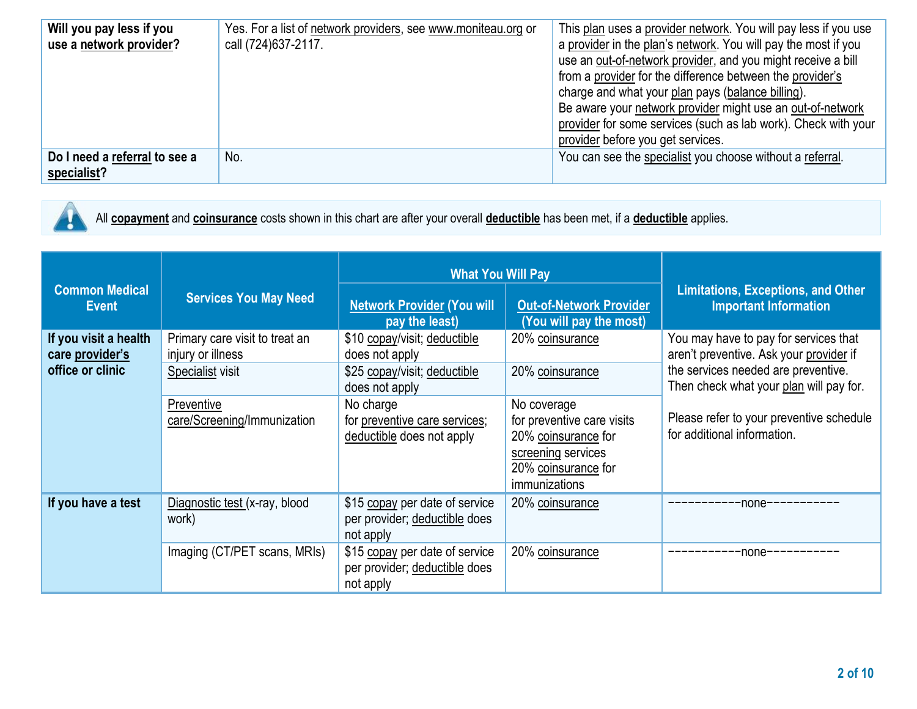| Will you pay less if you<br>use a network provider? | Yes. For a list of network providers, see www.moniteau.org or<br>call (724) 637-2117. | This plan uses a provider network. You will pay less if you use<br>a provider in the plan's network. You will pay the most if you<br>use an out-of-network provider, and you might receive a bill<br>from a provider for the difference between the provider's<br>charge and what your plan pays (balance billing).<br>Be aware your network provider might use an out-of-network<br>provider for some services (such as lab work). Check with your |
|-----------------------------------------------------|---------------------------------------------------------------------------------------|-----------------------------------------------------------------------------------------------------------------------------------------------------------------------------------------------------------------------------------------------------------------------------------------------------------------------------------------------------------------------------------------------------------------------------------------------------|
|                                                     |                                                                                       | provider before you get services.                                                                                                                                                                                                                                                                                                                                                                                                                   |
| Do I need a referral to see a<br>specialist?        | No.                                                                                   | You can see the specialist you choose without a referral.                                                                                                                                                                                                                                                                                                                                                                                           |



All **copayment** and **coinsurance** costs shown in this chart are after your overall **deductible** has been met, if a **deductible** applies.

|                                                              |                                                                                                                      | <b>What You Will Pay</b>                                                                                                                                                    |                                                                                                                                                                      |                                                                                                                                                                                                                                               |
|--------------------------------------------------------------|----------------------------------------------------------------------------------------------------------------------|-----------------------------------------------------------------------------------------------------------------------------------------------------------------------------|----------------------------------------------------------------------------------------------------------------------------------------------------------------------|-----------------------------------------------------------------------------------------------------------------------------------------------------------------------------------------------------------------------------------------------|
| <b>Common Medical</b><br><b>Event</b>                        | <b>Services You May Need</b>                                                                                         | <b>Network Provider (You will</b><br>pay the least)                                                                                                                         | <b>Out-of-Network Provider</b><br>(You will pay the most)                                                                                                            | <b>Limitations, Exceptions, and Other</b><br><b>Important Information</b>                                                                                                                                                                     |
| If you visit a health<br>care provider's<br>office or clinic | Primary care visit to treat an<br>injury or illness<br>Specialist visit<br>Preventive<br>care/Screening/Immunization | \$10 copay/visit; deductible<br>does not apply<br>\$25 copay/visit; deductible<br>does not apply<br>No charge<br>for preventive care services;<br>deductible does not apply | 20% coinsurance<br>20% coinsurance<br>No coverage<br>for preventive care visits<br>20% coinsurance for<br>screening services<br>20% coinsurance for<br>immunizations | You may have to pay for services that<br>aren't preventive. Ask your provider if<br>the services needed are preventive.<br>Then check what your plan will pay for.<br>Please refer to your preventive schedule<br>for additional information. |
| If you have a test                                           | Diagnostic test (x-ray, blood<br>work)<br>Imaging (CT/PET scans, MRIs)                                               | \$15 copay per date of service<br>per provider; deductible does<br>not apply<br>\$15 copay per date of service<br>per provider; deductible does<br>not apply                | 20% coinsurance<br>20% coinsurance                                                                                                                                   | -none-----------<br>-none-                                                                                                                                                                                                                    |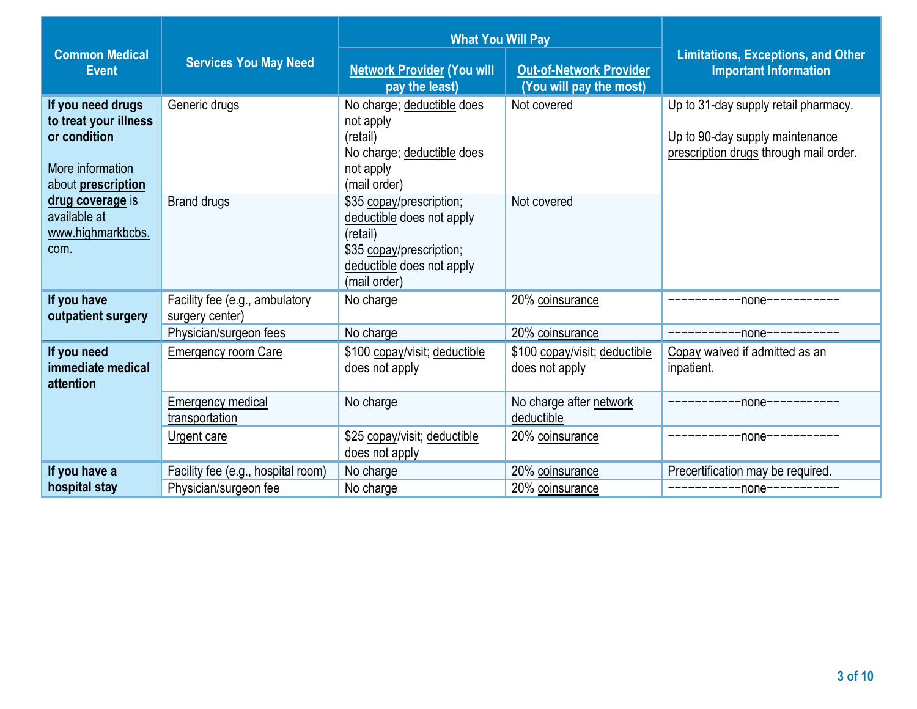|                                                                                                      |                                                             | <b>What You Will Pay</b>                                                                                                                   |                                                                    |                                                                                                                   |
|------------------------------------------------------------------------------------------------------|-------------------------------------------------------------|--------------------------------------------------------------------------------------------------------------------------------------------|--------------------------------------------------------------------|-------------------------------------------------------------------------------------------------------------------|
| <b>Common Medical</b><br><b>Event</b>                                                                | <b>Services You May Need</b>                                | <b>Network Provider (You will</b><br>pay the least)                                                                                        | <b>Out-of-Network Provider</b><br>(You will pay the most)          | <b>Limitations, Exceptions, and Other</b><br><b>Important Information</b>                                         |
| If you need drugs<br>to treat your illness<br>or condition<br>More information<br>about prescription | Generic drugs                                               | No charge; deductible does<br>not apply<br>(retail)<br>No charge; deductible does<br>not apply<br>(mail order)                             | Not covered                                                        | Up to 31-day supply retail pharmacy.<br>Up to 90-day supply maintenance<br>prescription drugs through mail order. |
| drug coverage is<br>available at<br>www.highmarkbcbs.<br>com.                                        | <b>Brand drugs</b>                                          | \$35 copay/prescription;<br>deductible does not apply<br>(retail)<br>\$35 copay/prescription;<br>deductible does not apply<br>(mail order) | Not covered                                                        |                                                                                                                   |
| If you have<br>outpatient surgery                                                                    | Facility fee (e.g., ambulatory<br>surgery center)           | No charge                                                                                                                                  | 20% coinsurance                                                    | -----------none-----------                                                                                        |
| If you need<br>immediate medical<br>attention                                                        | Physician/surgeon fees<br><b>Emergency room Care</b>        | No charge<br>\$100 copay/visit; deductible<br>does not apply                                                                               | 20% coinsurance<br>\$100 copay/visit; deductible<br>does not apply | -----------none-----------<br>Copay waived if admitted as an<br>inpatient.                                        |
|                                                                                                      | Emergency medical<br>transportation                         | No charge                                                                                                                                  | No charge after network<br>deductible                              | --------none-----------                                                                                           |
|                                                                                                      | Urgent care                                                 | \$25 copay/visit; deductible<br>does not apply                                                                                             | 20% coinsurance                                                    | ---------none-----------                                                                                          |
| If you have a<br>hospital stay                                                                       | Facility fee (e.g., hospital room)<br>Physician/surgeon fee | No charge<br>No charge                                                                                                                     | 20% coinsurance<br>20% coinsurance                                 | Precertification may be required.<br>-----------none-----------                                                   |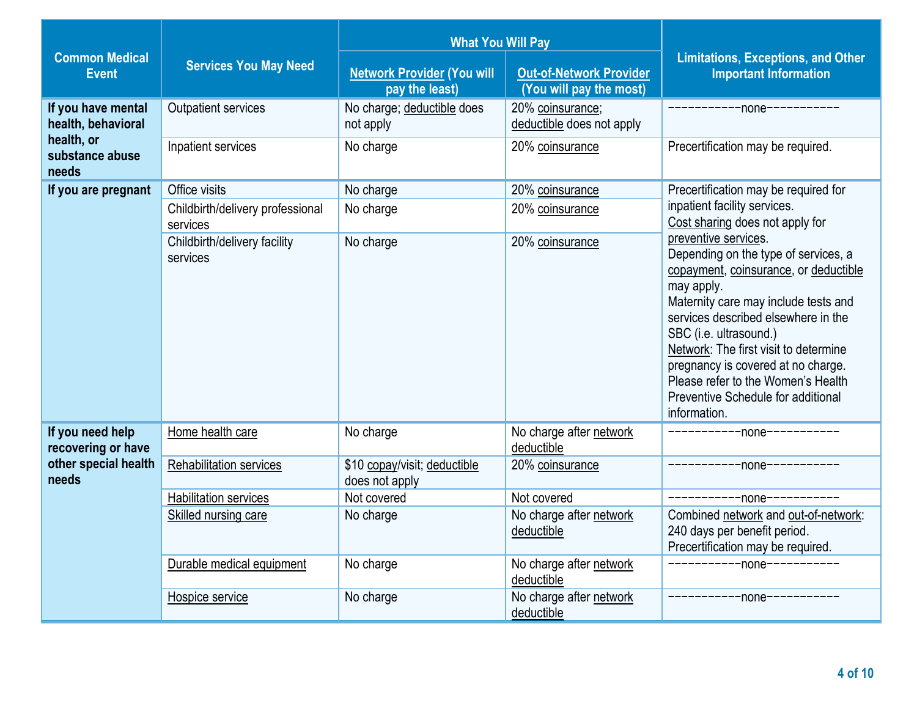|                                          |                                              | <b>What You Will Pay</b>                            |                                                           |                                                                                                                                                                                                                                                                                                                                                                                                         |  |
|------------------------------------------|----------------------------------------------|-----------------------------------------------------|-----------------------------------------------------------|---------------------------------------------------------------------------------------------------------------------------------------------------------------------------------------------------------------------------------------------------------------------------------------------------------------------------------------------------------------------------------------------------------|--|
| <b>Common Medical</b><br><b>Event</b>    | <b>Services You May Need</b>                 | <b>Network Provider (You will</b><br>pay the least) | <b>Out-of-Network Provider</b><br>(You will pay the most) | <b>Limitations, Exceptions, and Other</b><br><b>Important Information</b>                                                                                                                                                                                                                                                                                                                               |  |
| If you have mental<br>health, behavioral | <b>Outpatient services</b>                   | No charge; deductible does<br>not apply             | 20% coinsurance;<br>deductible does not apply             | ------------none-----------                                                                                                                                                                                                                                                                                                                                                                             |  |
| health, or<br>substance abuse<br>needs   | Inpatient services                           | No charge                                           | 20% coinsurance                                           | Precertification may be required.                                                                                                                                                                                                                                                                                                                                                                       |  |
| If you are pregnant                      | Office visits                                | No charge                                           | 20% coinsurance                                           | Precertification may be required for                                                                                                                                                                                                                                                                                                                                                                    |  |
|                                          | Childbirth/delivery professional<br>services | No charge                                           | 20% coinsurance                                           | inpatient facility services.<br>Cost sharing does not apply for                                                                                                                                                                                                                                                                                                                                         |  |
|                                          | Childbirth/delivery facility<br>services     | No charge                                           | 20% coinsurance                                           | preventive services.<br>Depending on the type of services, a<br>copayment, coinsurance, or deductible<br>may apply.<br>Maternity care may include tests and<br>services described elsewhere in the<br>SBC (i.e. ultrasound.)<br>Network: The first visit to determine<br>pregnancy is covered at no charge.<br>Please refer to the Women's Health<br>Preventive Schedule for additional<br>information. |  |
| If you need help<br>recovering or have   | Home health care                             | No charge                                           | No charge after network<br>deductible                     | ------------none-----------                                                                                                                                                                                                                                                                                                                                                                             |  |
| other special health<br>needs            | Rehabilitation services                      | \$10 copay/visit; deductible<br>does not apply      | 20% coinsurance                                           | ------------none-----------                                                                                                                                                                                                                                                                                                                                                                             |  |
|                                          | <b>Habilitation services</b>                 | Not covered                                         | Not covered                                               | ------------none-----------                                                                                                                                                                                                                                                                                                                                                                             |  |
|                                          | Skilled nursing care                         | No charge                                           | No charge after network<br>deductible                     | Combined network and out-of-network:<br>240 days per benefit period.<br>Precertification may be required.                                                                                                                                                                                                                                                                                               |  |
|                                          | Durable medical equipment                    | No charge                                           | No charge after network<br>deductible                     | ------------none-----------                                                                                                                                                                                                                                                                                                                                                                             |  |
|                                          | Hospice service                              | No charge                                           | No charge after network<br>deductible                     | ------------none-----------                                                                                                                                                                                                                                                                                                                                                                             |  |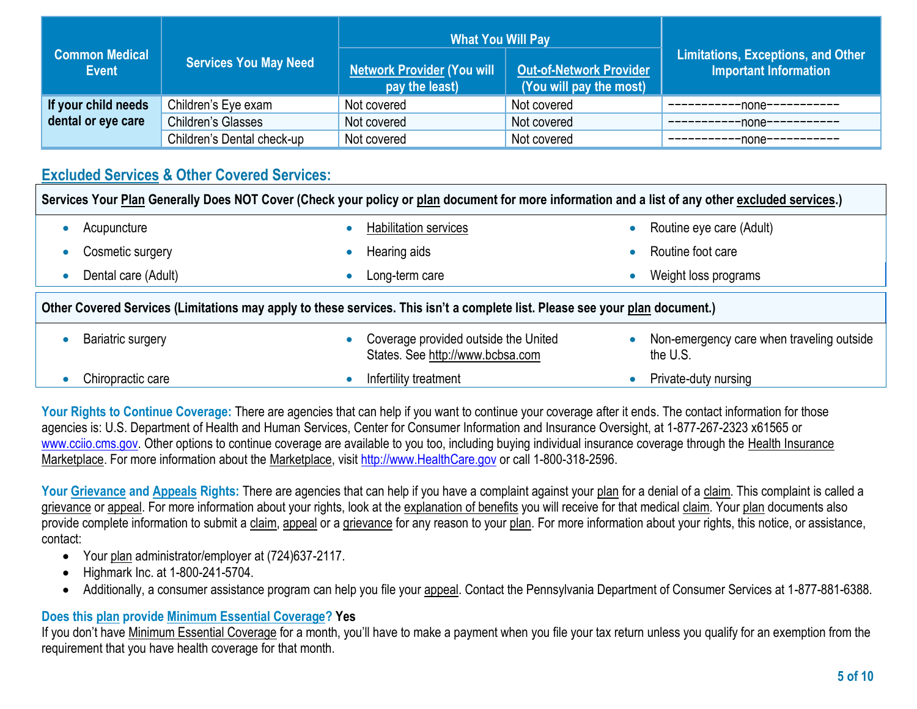| <b>Common Medical</b><br><b>Event</b> | <b>Services You May Need</b> | <b>What You Will Pay</b><br><b>Network Provider (You will</b><br>pay the least) | <b>Out-of-Network Provider</b><br>(You will pay the most) | Limitations, Exceptions, and Other<br>Important Information |
|---------------------------------------|------------------------------|---------------------------------------------------------------------------------|-----------------------------------------------------------|-------------------------------------------------------------|
| If your child needs                   | Children's Eye exam          | Not covered                                                                     | Not covered                                               | -none-----------                                            |
| dental or eye care                    | Children's Glasses           | Not covered                                                                     | Not covered                                               | -none-----------                                            |
|                                       | Children's Dental check-up   | Not covered                                                                     | Not covered                                               | -none-----------                                            |

# **Excluded Services & Other Covered Services:**

| Services Your Plan Generally Does NOT Cover (Check your policy or plan document for more information and a list of any other excluded services.) |                     |           |                                                                          |                                                       |
|--------------------------------------------------------------------------------------------------------------------------------------------------|---------------------|-----------|--------------------------------------------------------------------------|-------------------------------------------------------|
|                                                                                                                                                  | Acupuncture         |           | Habilitation services                                                    | Routine eye care (Adult)                              |
|                                                                                                                                                  | Cosmetic surgery    |           | Hearing aids                                                             | Routine foot care                                     |
| $\bullet$                                                                                                                                        | Dental care (Adult) | $\bullet$ | Long-term care                                                           | Weight loss programs                                  |
| Other Covered Services (Limitations may apply to these services. This isn't a complete list. Please see your plan document.)                     |                     |           |                                                                          |                                                       |
|                                                                                                                                                  |                     |           |                                                                          |                                                       |
|                                                                                                                                                  | Bariatric surgery   |           | Coverage provided outside the United<br>States. See http://www.bcbsa.com | Non-emergency care when traveling outside<br>the U.S. |

Your Rights to Continue Coverage: There are agencies that can help if you want to continue your coverage after it ends. The contact information for those agencies is: U.S. Department of Health and Human Services, Center for Consumer Information and Insurance Oversight, at 1-877-267-2323 x61565 or [www.cciio.cms.gov.](http://www.cciio.cms.gov/) Other options to continue coverage are available to you too, including buying individual insurance coverage through the Health Insurance Marketplace. For more information about the Marketplace, visi[t http://www.HealthCare.gov](http://www.healthcare.gov/) or call 1-800-318-2596.

Your Grievance and Appeals Rights: There are agencies that can help if you have a complaint against your plan for a denial of a claim. This complaint is called a grievance or appeal. For more information about your rights, look at the explanation of benefits you will receive for that medical claim. Your plan documents also provide complete information to submit a claim, appeal or a grievance for any reason to your plan. For more information about your rights, this notice, or assistance, contact:

- Your plan administrator/employer at (724)637-2117.
- Highmark Inc. at 1-800-241-5704.
- Additionally, a consumer assistance program can help you file your appeal. Contact the Pennsylvania Department of Consumer Services at 1-877-881-6388.

## **Does this plan provide Minimum Essential Coverage? Yes**

If you don't have Minimum Essential Coverage for a month, you'll have to make a payment when you file your tax return unless you qualify for an exemption from the requirement that you have health coverage for that month.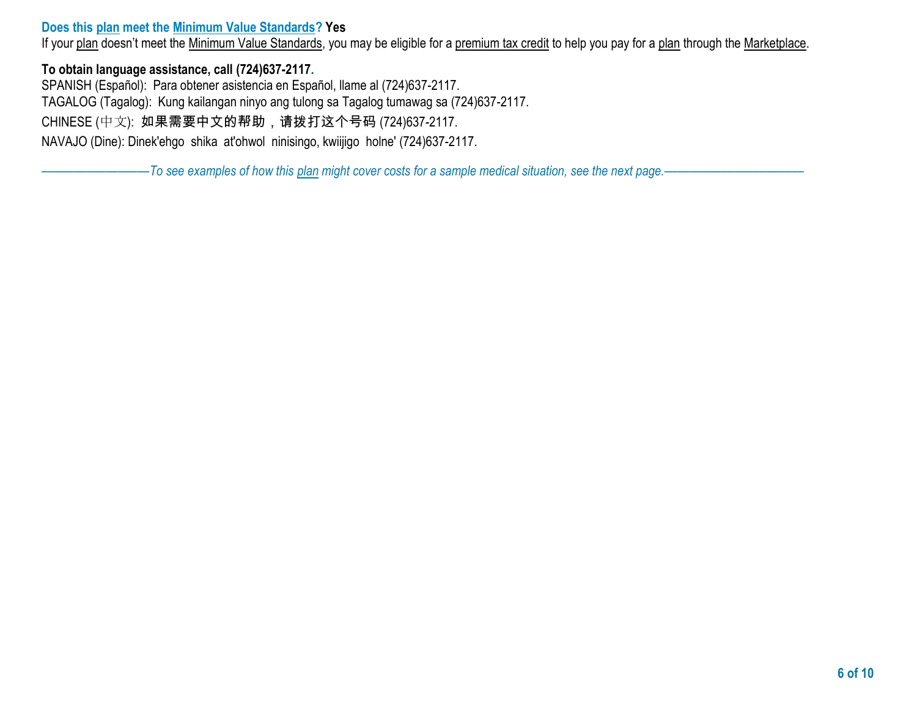#### **Does this plan meet the Minimum Value Standards? Yes**

If your plan doesn't meet the Minimum Value Standards, you may be eligible for a premium tax credit to help you pay for a plan through the Marketplace.

#### **To obtain language assistance, call (724)637-2117.**

SPANISH (Español): Para obtener asistencia en Español, llame al (724)637-2117. TAGALOG (Tagalog): Kung kailangan ninyo ang tulong sa Tagalog tumawag sa (724)637-2117. CHINESE (中文): 如果需要中文的帮助,请拨打这个号码 (724)637-2117. NAVAJO (Dine): Dinek'ehgo shika at'ohwol ninisingo, kwiijigo holne' (724)637-2117.

–––––––––––––––––*To see examples of how this plan might cover costs for a sample medical situation, see the next page.–––––––––––*–––––––––––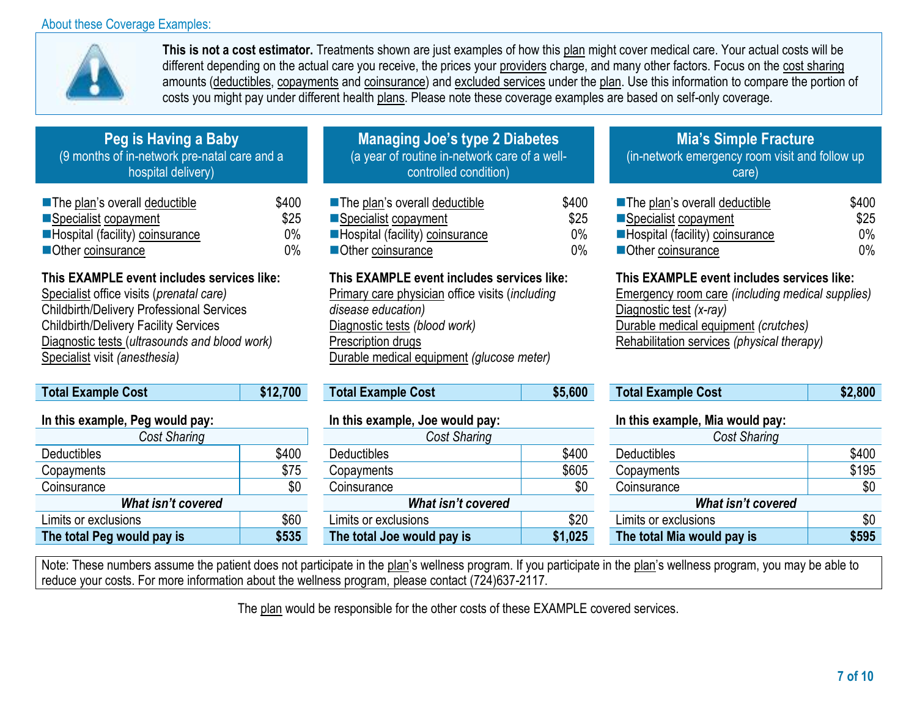#### About these Coverage Examples:



**This is not a cost estimator.** Treatments shown are just examples of how this plan might cover medical care. Your actual costs will be different depending on the actual care you receive, the prices your providers charge, and many other factors. Focus on the cost sharing amounts (deductibles, copayments and coinsurance) and excluded services under the plan. Use this information to compare the portion of costs you might pay under different health plans. Please note these coverage examples are based on self-only coverage.

| Peg is Having a Baby                         |
|----------------------------------------------|
| (9 months of in-network pre-natal care and a |
| hospital delivery)                           |
|                                              |

| <b>The plan's overall deductible</b> | \$400 |
|--------------------------------------|-------|
| ■Specialist copayment                | \$25  |
| Hospital (facility) coinsurance      | $0\%$ |
| Other coinsurance                    | $0\%$ |

## **This EXAMPLE event includes services like:**

Specialist office visits (*prenatal care)*  Childbirth/Delivery Professional Services Childbirth/Delivery Facility Services Diagnostic tests (*ultrasounds and blood work)*  Specialist visit *(anesthesia)*

| <b>Total Example Cost</b>       | \$12,700 | <b>Total Example Cost</b>       | \$5,600 | <b>Total Example Cost</b>       | \$2,800 |
|---------------------------------|----------|---------------------------------|---------|---------------------------------|---------|
| In this example, Peg would pay: |          | In this example, Joe would pay: |         | In this example, Mia would pay: |         |
| Cost Sharing                    |          | Cost Sharing                    |         | Cost Sharing                    |         |
| <b>Deductibles</b>              | \$400    | <b>Deductibles</b>              | \$400   | <b>Deductibles</b>              | \$400   |
| Copayments                      | \$75     | Copayments                      | \$605   | Copayments                      | \$195   |
| Coinsurance                     | \$0      | Coinsurance                     | \$0     | Coinsurance                     | \$0     |
| <b>What isn't covered</b>       |          | What isn't covered              |         | <b>What isn't covered</b>       |         |
| Limits or exclusions            | \$60     | Limits or exclusions            | \$20    | Limits or exclusions            | \$0     |
| The total Peg would pay is      | \$535    | The total Joe would pay is      | \$1,025 | The total Mia would pay is      | \$595   |

| <b>Managing Joe's type 2 Diabetes</b>         |
|-----------------------------------------------|
| (a year of routine in-network care of a well- |
| controlled condition)                         |

| The plan's overall deductible   | \$400 |
|---------------------------------|-------|
| Specialist copayment            | \$25  |
| Hospital (facility) coinsurance | $0\%$ |
| Other coinsurance               | $0\%$ |

#### **This EXAMPLE event includes services like:**

Primary care physician office visits (*including disease education)*  Diagnostic tests *(blood work)*  Prescription drugs Durable medical equipment *(glucose meter)*

| Total Example Cost             | \$5,600 |
|--------------------------------|---------|
| In thic eventual los would new |         |

| ., .,              |       |                            |         |                            |
|--------------------|-------|----------------------------|---------|----------------------------|
| Cost Sharing       |       | Cost Sharing               |         | Cost Sharing               |
|                    | \$400 | <b>Deductibles</b>         | \$400   | <b>Deductibles</b>         |
|                    | \$75  | Copayments                 | \$605   | Copayments                 |
|                    | \$0   | Coinsurance                | \$0     | Coinsurance                |
| What isn't covered |       | What isn't covered         |         | What isn't covered         |
| ions               | \$60  | Limits or exclusions       | \$20    | Limits or exclusions       |
| vould pay is       | \$535 | The total Joe would pay is | \$1,025 | The total Mia would pay is |
|                    |       |                            |         |                            |

# **Mia's Simple Fracture**

(in-network emergency room visit and follow up care)

| The plan's overall deductible   | \$400 |
|---------------------------------|-------|
| Specialist copayment            | \$25  |
| Hospital (facility) coinsurance | $0\%$ |
| Other coinsurance               | በ%    |

## **This EXAMPLE event includes services like:**

Emergency room care *(including medical supplies)*  Diagnostic test *(x-ray)*  Durable medical equipment *(crutches)*  Rehabilitation services *(physical therapy)*

| <b>Total Example Cost</b> | \$2,800 |
|---------------------------|---------|
|                           |         |

#### **In this example, Mia would pay:**

| <b>Cost Sharing</b>        |       |  |  |
|----------------------------|-------|--|--|
| Deductibles                | \$400 |  |  |
| Copayments                 | \$195 |  |  |
| Coinsurance                | \$0   |  |  |
| What isn't covered         |       |  |  |
| Limits or exclusions       | \$0   |  |  |
| The total Mia would pay is | 595   |  |  |

Note: These numbers assume the patient does not participate in the plan's wellness program. If you participate in the plan's wellness program, you may be able to reduce your costs. For more information about the wellness program, please contact (724)637-2117.

The plan would be responsible for the other costs of these EXAMPLE covered services.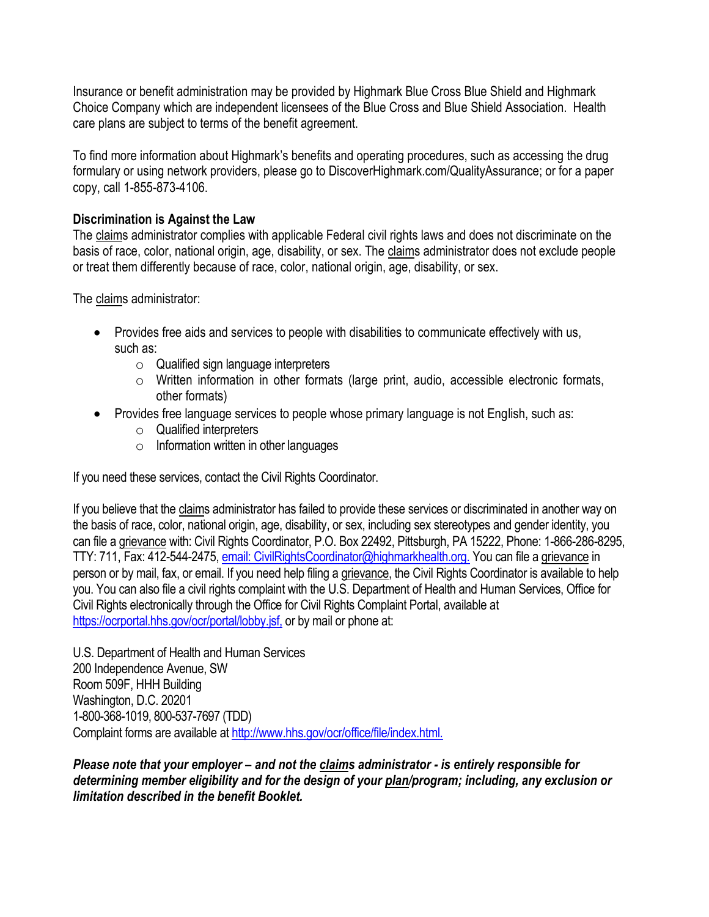Insurance or benefit administration may be provided by Highmark Blue Cross Blue Shield and Highmark Choice Company which are independent licensees of the Blue Cross and Blue Shield Association. Health care plans are subject to terms of the benefit agreement.

To find more information about Highmark's benefits and operating procedures, such as accessing the drug formulary or using network providers, please go to DiscoverHighmark.com/QualityAssurance; or for a paper copy, call 1-855-873-4106.

#### **Discrimination is Against the Law**

The claims administrator complies with applicable Federal civil rights laws and does not discriminate on the basis of race, color, national origin, age, disability, or sex. The claims administrator does not exclude people or treat them differently because of race, color, national origin, age, disability, or sex.

The claims administrator:

- Provides free aids and services to people with disabilities to communicate effectively with us, such as:
	- o Qualified sign language interpreters
	- o Written information in other formats (large print, audio, accessible electronic formats, other formats)
- Provides free language services to people whose primary language is not English, such as:
	- o Qualified interpreters
	- $\circ$  Information written in other languages

If you need these services, contact the Civil Rights Coordinator.

If you believe that the claims administrator has failed to provide these services or discriminated in another way on the basis of race, color, national origin, age, disability, or sex, including sex stereotypes and gender identity, you can file a grievance with: Civil Rights Coordinator, P.O. Box 22492, Pittsburgh, PA 15222, Phone: 1-866-286-8295, TTY: 711, Fax: 412-544-2475, [email: CivilRightsCoordinator@highmarkhealth.org.](mailto:CivilRightsCoordinator@highmarkhealth.org.) You can file a grievance in person or by mail, fax, or email. If you need help filing a grievance, the Civil Rights Coordinator is available to help you. You can also file a civil rights complaint with the U.S. Department of Health and Human Services, Office for Civil Rights electronically through the Office for Civil Rights Complaint Portal, available at <https://ocrportal.hhs.gov/ocr/portal/lobby.jsf,> or by mail or phone at:

U.S. Department of Health and Human Services 200 Independence Avenue, SW Room 509F, HHH Building Washington, D.C. 20201 1-800-368-1019, 800-537-7697 (TDD) Complaint forms are available at<http://www.hhs.gov/ocr/office/file/index.html.>

*Please note that your employer – and not the claims administrator - is entirely responsible for determining member eligibility and for the design of your plan/program; including, any exclusion or limitation described in the benefit Booklet.*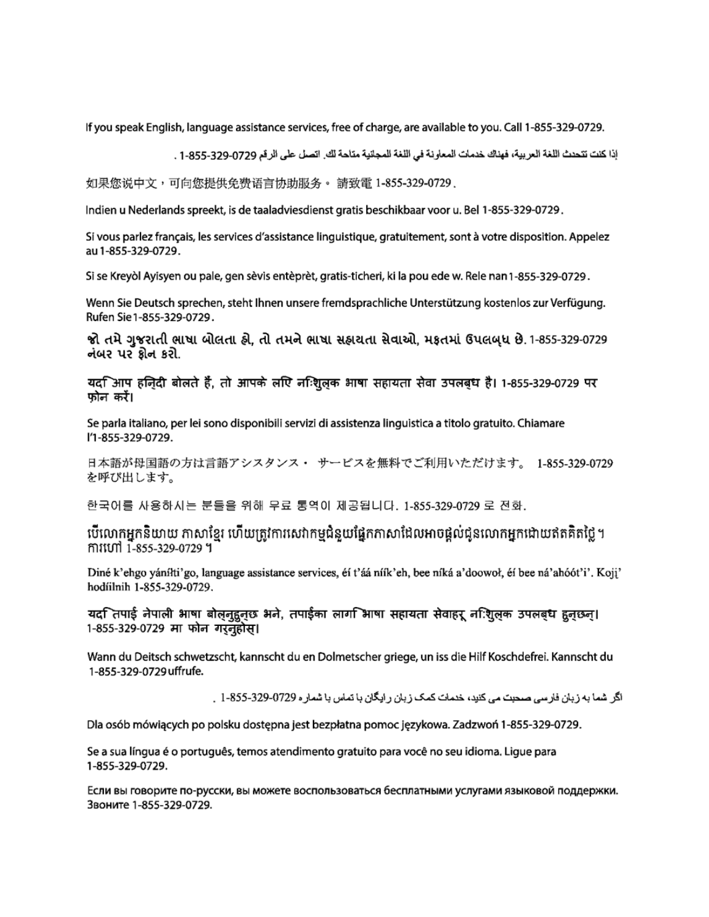If you speak English, language assistance services, free of charge, are available to you. Call 1-855-329-0729.

إذا كنت تتحدث اللغة العربية، فهناك خدمات المعاونة في اللغة المجلنية متاحة لك. اتصل على الرقم 0729-325-1-85 .

如果您说中文,可向您提供免费语言协助服务。 請致電 1-855-329-0729 .

Indien u Nederlands spreekt, is de taaladviesdienst gratis beschikbaar voor u. Bel 1-855-329-0729.

Si vous parlez français, les services d'assistance linguistique, gratuitement, sont à votre disposition. Appelez au 1-855-329-0729.

Si se Kreyòl Ayisyen ou pale, gen sèvis entèprèt, gratis-ticheri, ki la pou ede w. Rele nan 1-855-329-0729.

Wenn Sie Deutsch sprechen, steht Ihnen unsere fremdsprachliche Unterstützung kostenlos zur Verfügung. Rufen Sie 1-855-329-0729.

જો તમે ગુજરાતી ભાષા બોલતા હ્રો. તો તમને ભાષા સહ્રાયતા સેવાઓ. મકતમાં ઉપલબધ છે. 1-855-329-0729 નંબર પર ક્રોન કરો.

यद $\mathbb F$ आप हज़िदी बोलते हैं, तो आपके लपि नन्शि्लक भाषा सहायता सेवा उपलब्ध है। 1-855-329-0729 पर फोन करें।

Se parla italiano, per lei sono disponibili servizi di assistenza linguistica a titolo gratuito. Chiamare l'1-855-329-0729.

日本語が母国語の方は言語アシスタンス・ サービスを無料でご利用いただけます。 1-855-329-0729 を呼び出します。

한국어를 사용하시는 분들을 위해 무료 통역이 제공됩니다. 1-855-329-0729 로 전화.

បើលោកអ្នកនិយាយ ភាសាខ្មែរ ហើយត្រូវការសេវាកម្មជំនួយផ្នែកភាសាដែលអាចផ្តល់ជូនលោកអ្នកដោយឥតគិតថ្លៃ។ mituri 1-855-329-0729 ។

Diné k'ehgo yánílti'go, language assistance services, éí t'áá níík'eh, bee níká a'doowoł, éí bee ná'ahóót'i'. Koji' hodíilnih 1-855-329-0729.

यद ितपाई नेपाली भाषा बोलनुहुनुछ भने, तपाईका लाग िभाषा सहायता सेवाहरू न:िशुलक उपलबध हुनुछन्। 1-855-329-0729 मा फोन गरनुहोस।

Wann du Deitsch schwetzscht, kannscht du en Dolmetscher griege, un iss die Hilf Koschdefrei. Kannscht du 1-855-329-0729 uffrufe.

اگر اشما به زبان فارسی صحبت می کنید، خدمات کمک زبان رایگان با تماس با شمار ه 0729-329-325 . [

Dla osób mówiących po polsku dostępna jest bezpłatna pomoc językowa. Zadzwoń 1-855-329-0729.

Se a sua língua é o português, temos atendimento gratuito para você no seu idioma. Ligue para 1-855-329-0729.

Если вы говорите по-русски, вы можете воспользоваться бесплатными услугами языковой поддержки. Звоните 1-855-329-0729.